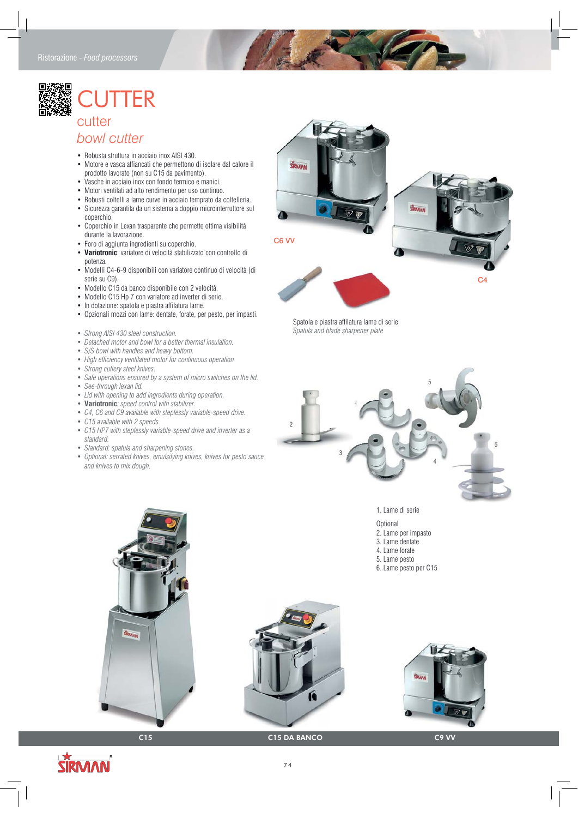## ${\sf FR}$ cutter

## *bowl cutter*

- Robusta struttura in acciaio inox AISI 430.
- Motore e vasca affiancati che permettono di isolare dal calore il prodotto lavorato (non su C15 da pavimento).
- Vasche in acciaio inox con fondo termico e manici.
- Motori ventilati ad alto rendimento per uso continuo.
- Robusti coltelli a lame curve in acciaio temprato da coltelleria. • Sicurezza garantita da un sistema a doppio microinterruttore sul
- coperchio. • Coperchio in Lexan trasparente che permette ottima visibilità durante la lavorazione.
- Foro di aggiunta ingredienti su coperchio.
- **Variotronic**: variatore di velocità stabilizzato con controllo di potenza.
- Modelli C4-6-9 disponibili con variatore continuo di velocità (di serie su C9).
- Modello C15 da banco disponibile con 2 velocità.
- Modello C15 Hp 7 con variatore ad inverter di serie.
- In dotazione: spatola e piastra affilatura lame.
- Opzionali mozzi con lame: dentate, forate, per pesto, per impasti.
- *Strong AISI 430 steel construction.*
- *Detached motor and bowl for a better thermal insulation.*
- *S/S bowl with handles and heavy bottom.*
- *High efficiency ventilated motor for continuous operation*
- *Strong cutlery steel knives.*
- *Safe operations ensured by a system of micro switches on the lid.*
- *See-through lexan lid.*
- *Lid with opening to add ingredients during operation.*
- **Variotronic***: speed control with stabilizer.*
- *C4, C6 and C9 available with steplessly variable-speed drive.*
- *C15 available with 2 speeds.*
- *C15 HP7 with steplessly variable-speed drive and inverter as a standard.*
- *Standard: spatula and sharpening stones.*
- *Optional: serrated knives, emulsifying knives, knives for pesto sauce and knives to mix dough.*



C4

Spatola e piastra affilatura lame di serie *Spatula and blade sharpener plate*



1. Lame di serie

- **Optional**
- 2. Lame per impasto
- 3. Lame dentate
- 4. Lame forate
- 5. Lame pesto
- 6. Lame pesto per C15







C15 C15 DA BANCO C9 VV